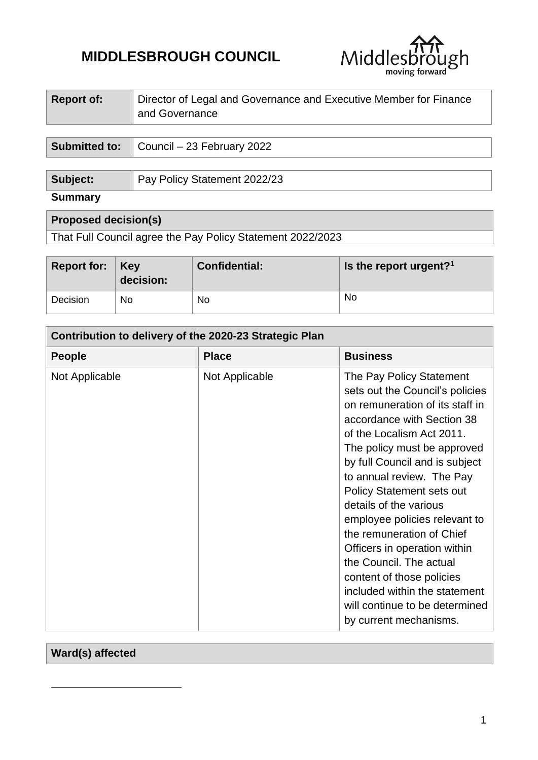# **MIDDLESBROUGH COUNCIL**



| <b>Report of:</b>    | Director of Legal and Governance and Executive Member for Finance<br>and Governance |  |
|----------------------|-------------------------------------------------------------------------------------|--|
|                      |                                                                                     |  |
| <b>Submitted to:</b> | Council – 23 February 2022                                                          |  |
|                      |                                                                                     |  |
| Subject:             | Pay Policy Statement 2022/23                                                        |  |

| <b>Summary</b> |  |
|----------------|--|

| <b>Proposed decision(s)</b> |  |
|-----------------------------|--|

That Full Council agree the Pay Policy Statement 2022/2023

| Report for: $\vert$ Key | decision: | <b>Confidential:</b> | Is the report urgent? <sup>1</sup> |
|-------------------------|-----------|----------------------|------------------------------------|
| Decision                | No        | No.                  | No                                 |

| Contribution to delivery of the 2020-23 Strategic Plan |                |                                                                                                                                                                                                                                                                                                                                                                                                                                                                                                                                                                          |
|--------------------------------------------------------|----------------|--------------------------------------------------------------------------------------------------------------------------------------------------------------------------------------------------------------------------------------------------------------------------------------------------------------------------------------------------------------------------------------------------------------------------------------------------------------------------------------------------------------------------------------------------------------------------|
| <b>People</b>                                          | <b>Place</b>   | <b>Business</b>                                                                                                                                                                                                                                                                                                                                                                                                                                                                                                                                                          |
| Not Applicable                                         | Not Applicable | The Pay Policy Statement<br>sets out the Council's policies<br>on remuneration of its staff in<br>accordance with Section 38<br>of the Localism Act 2011.<br>The policy must be approved<br>by full Council and is subject<br>to annual review. The Pay<br><b>Policy Statement sets out</b><br>details of the various<br>employee policies relevant to<br>the remuneration of Chief<br>Officers in operation within<br>the Council. The actual<br>content of those policies<br>included within the statement<br>will continue to be determined<br>by current mechanisms. |

# **Ward(s) affected**

**.**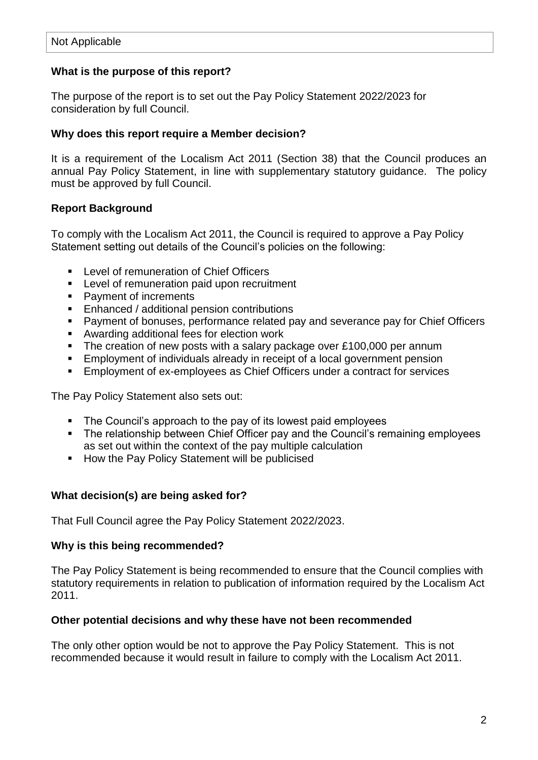# **What is the purpose of this report?**

The purpose of the report is to set out the Pay Policy Statement 2022/2023 for consideration by full Council.

## **Why does this report require a Member decision?**

It is a requirement of the Localism Act 2011 (Section 38) that the Council produces an annual Pay Policy Statement, in line with supplementary statutory guidance. The policy must be approved by full Council.

# **Report Background**

To comply with the Localism Act 2011, the Council is required to approve a Pay Policy Statement setting out details of the Council's policies on the following:

- **Level of remuneration of Chief Officers**
- **EXECTE:** Level of remuneration paid upon recruitment
- Payment of increments
- **Enhanced / additional pension contributions**
- Payment of bonuses, performance related pay and severance pay for Chief Officers
- Awarding additional fees for election work
- The creation of new posts with a salary package over £100,000 per annum
- Employment of individuals already in receipt of a local government pension
- **Employment of ex-employees as Chief Officers under a contract for services**

The Pay Policy Statement also sets out:

- The Council's approach to the pay of its lowest paid employees
- **The relationship between Chief Officer pay and the Council's remaining employees** as set out within the context of the pay multiple calculation
- **How the Pay Policy Statement will be publicised**

## **What decision(s) are being asked for?**

That Full Council agree the Pay Policy Statement 2022/2023.

#### **Why is this being recommended?**

The Pay Policy Statement is being recommended to ensure that the Council complies with statutory requirements in relation to publication of information required by the Localism Act 2011.

#### **Other potential decisions and why these have not been recommended**

The only other option would be not to approve the Pay Policy Statement. This is not recommended because it would result in failure to comply with the Localism Act 2011.